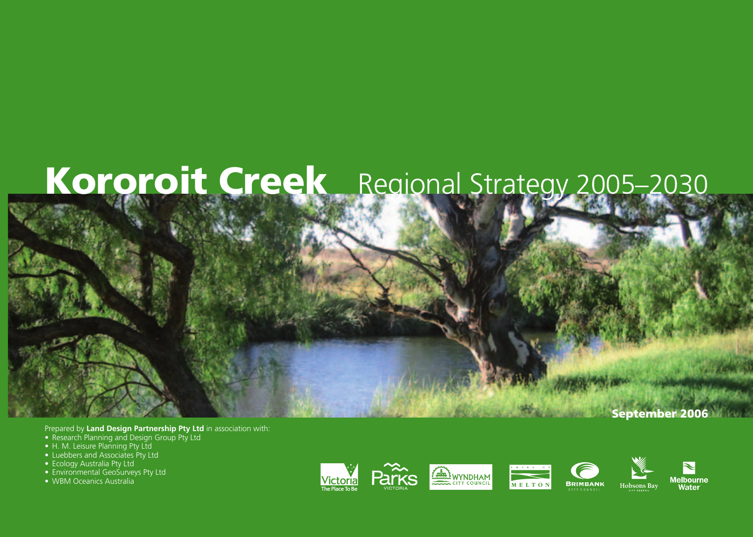# **Kororoit Creek** Regional Strategy 2005–2030

Prepared by **Land Design Partnership Pty Ltd** in association with:

- Research Planning and Design Group Pty Ltd
- H. M. Leisure Planning Pty Ltd
- Luebbers and Associates Pty Ltd
- Ecology Australia Pty Ltd
- Environmental GeoSurveys Pty Ltd
- WBM Oceanics Australia



 **September 2006**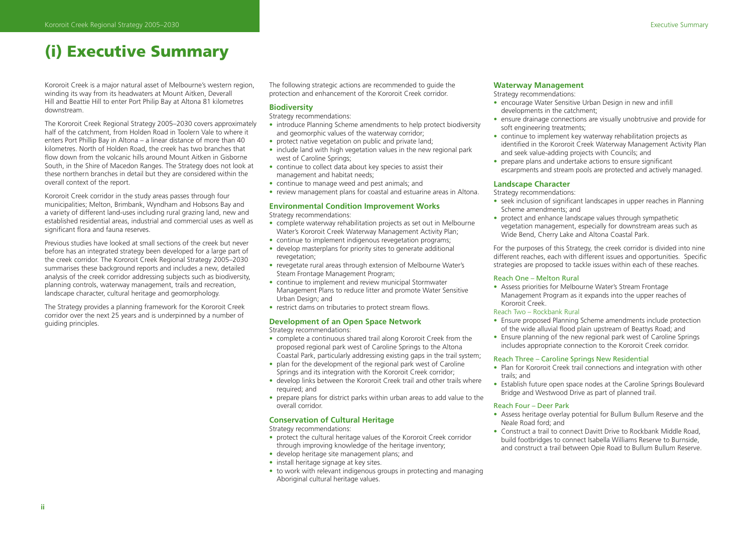# **(i) Executive Summary**

Kororoit Creek is a major natural asset of Melbourne's western region, winding its way from its headwaters at Mount Aitken, Deverall Hill and Beattie Hill to enter Port Philip Bay at Altona 81 kilometres downstream.

The Kororoit Creek Regional Strategy 2005–2030 covers approximately half of the catchment, from Holden Road in Toolern Vale to where it enters Port Phillip Bay in Altona – a linear distance of more than 40 kilometres. North of Holden Road, the creek has two branches that flow down from the volcanic hills around Mount Aitken in Gisborne South, in the Shire of Macedon Ranges. The Strategy does not look at these northern branches in detail but they are considered within the overall context of the report.

Kororoit Creek corridor in the study areas passes through four municipalities; Melton, Brimbank, Wyndham and Hobsons Bay and a variety of different land-uses including rural grazing land, new and established residential areas, industrial and commercial uses as well as significant flora and fauna reserves.

Previous studies have looked at small sections of the creek but never before has an integrated strategy been developed for a large part of the creek corridor. The Kororoit Creek Regional Strategy 2005–2030 summarises these background reports and includes a new, detailed analysis of the creek corridor addressing subjects such as biodiversity, planning controls, waterway management, trails and recreation, landscape character, cultural heritage and geomorphology.

The Strategy provides a planning framework for the Kororoit Creek corridor over the next 25 years and is underpinned by a number of guiding principles.

The following strategic actions are recommended to guide the protection and enhancement of the Kororoit Creek corridor.

### **Biodiversity**

Strategy recommendations:

- introduce Planning Scheme amendments to help protect biodiversity and geomorphic values of the waterway corridor;
- protect native vegetation on public and private land;
- include land with high vegetation values in the new regional park west of Caroline Springs;
- continue to collect data about key species to assist their management and habitat needs;
- continue to manage weed and pest animals; and
- review management plans for coastal and estuarine areas in Altona.

### **Environmental Condition Improvement Works**

Strategy recommendations:

- complete waterway rehabilitation projects as set out in Melbourne Water's Kororoit Creek Waterway Management Activity Plan;
- continue to implement indigenous revegetation programs;
- develop masterplans for priority sites to generate additional revegetation;
- revegetate rural areas through extension of Melbourne Water's Steam Frontage Management Program;
- continue to implement and review municipal Stormwater Management Plans to reduce litter and promote Water Sensitive Urban Design; and
- restrict dams on tributaries to protect stream flows.

### **Development of an Open Space Network**

Strategy recommendations:

- complete a continuous shared trail along Kororoit Creek from the proposed regional park west of Caroline Springs to the Altona Coastal Park, particularly addressing existing gaps in the trail system;
- plan for the development of the regional park west of Caroline Springs and its integration with the Kororoit Creek corridor;
- develop links between the Kororoit Creek trail and other trails where required; and
- prepare plans for district parks within urban areas to add value to the overall corridor.

### **Conservation of Cultural Heritage**

Strategy recommendations:

- protect the cultural heritage values of the Kororoit Creek corridor through improving knowledge of the heritage inventory;
- develop heritage site management plans; and
- install heritage signage at key sites.
- to work with relevant indigenous groups in protecting and managing Aboriginal cultural heritage values.

### **Waterway Management**

### Strategy recommendations:

- encourage Water Sensitive Urban Design in new and infill developments in the catchment;
- ensure drainage connections are visually unobtrusive and provide for soft engineering treatments;
- continue to implement key waterway rehabilitation projects as identified in the Kororoit Creek Waterway Management Activity Plan and seek value-adding projects with Councils; and
- prepare plans and undertake actions to ensure significant escarpments and stream pools are protected and actively managed.

### **Landscape Character**

Strategy recommendations:

- seek inclusion of significant landscapes in upper reaches in Planning Scheme amendments; and
- protect and enhance landscape values through sympathetic vegetation management, especially for downstream areas such as Wide Bend, Cherry Lake and Altona Coastal Park.

For the purposes of this Strategy, the creek corridor is divided into nine different reaches, each with different issues and opportunities. Specific strategies are proposed to tackle issues within each of these reaches.

### Reach One – Melton Rural

• Assess priorities for Melbourne Water's Stream Frontage Management Program as it expands into the upper reaches of Kororoit Creek.

### Reach Two – Rockbank Rural

- Ensure proposed Planning Scheme amendments include protection of the wide alluvial flood plain upstream of Beattys Road; and
- Ensure planning of the new regional park west of Caroline Springs includes appropriate connection to the Kororoit Creek corridor.

### Reach Three – Caroline Springs New Residential

- Plan for Kororoit Creek trail connections and integration with other trails; and
- Establish future open space nodes at the Caroline Springs Boulevard Bridge and Westwood Drive as part of planned trail.

### Reach Four – Deer Park

- Assess heritage overlay potential for Bullum Bullum Reserve and the Neale Road ford; and
- Construct a trail to connect Davitt Drive to Rockbank Middle Road, build footbridges to connect Isabella Williams Reserve to Burnside, and construct a trail between Opie Road to Bullum Bullum Reserve.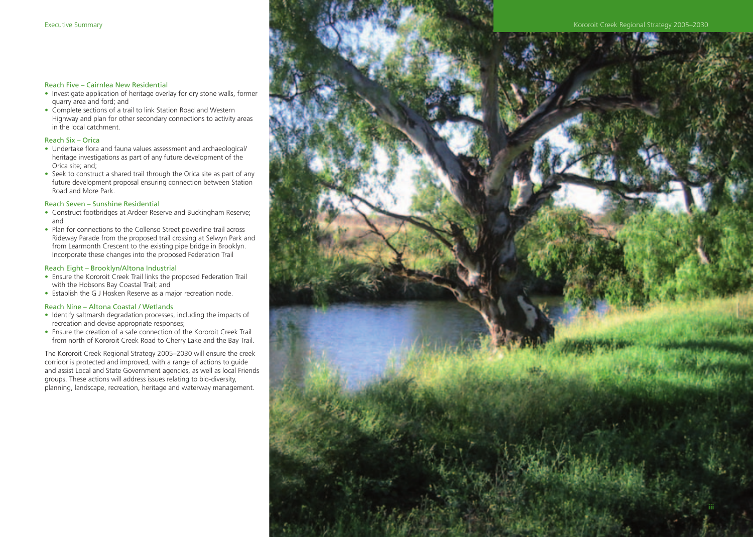### Reach Five – Cairnlea New Residential

- Investigate application of heritage overlay for dry stone walls, former quarry area and ford; and
- Complete sections of a trail to link Station Road and Western Highway and plan for other secondary connections to activity areas in the local catchment.

### Reach Six – Orica

- Undertake flora and fauna values assessment and archaeological/ heritage investigations as part of any future development of the Orica site; and;
- Seek to construct a shared trail through the Orica site as part of any future development proposal ensuring connection between Station Road and More Park.

### Reach Seven – Sunshine Residential

- Construct footbridges at Ardeer Reserve and Buckingham Reserve; and
- Plan for connections to the Collenso Street powerline trail across Rideway Parade from the proposed trail crossing at Selwyn Park and from Learmonth Crescent to the existing pipe bridge in Brooklyn. Incorporate these changes into the proposed Federation Trail

### Reach Eight – Brooklyn/Altona Industrial

- Ensure the Kororoit Creek Trail links the proposed Federation Trail with the Hobsons Bay Coastal Trail; and
- Establish the G J Hosken Reserve as a major recreation node.

### Reach Nine – Altona Coastal / Wetlands

- Identify saltmarsh degradation processes, including the impacts of recreation and devise appropriate responses;
- Ensure the creation of a safe connection of the Kororoit Creek Trail from north of Kororoit Creek Road to Cherry Lake and the Bay Trail.

The Kororoit Creek Regional Strategy 2005–2030 will ensure the creek corridor is protected and improved, with a range of actions to guide and assist Local and State Government agencies, as well as local Friends groups. These actions will address issues relating to bio-diversity, planning, landscape, recreation, heritage and waterway management.

# Executive Summary **Executive Summary Access 2005–2030 Executive Summary Access 2005–2030**

**iii**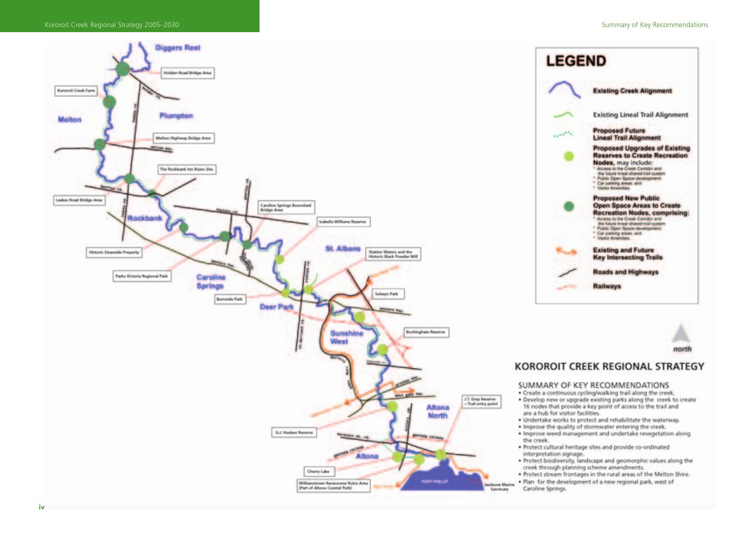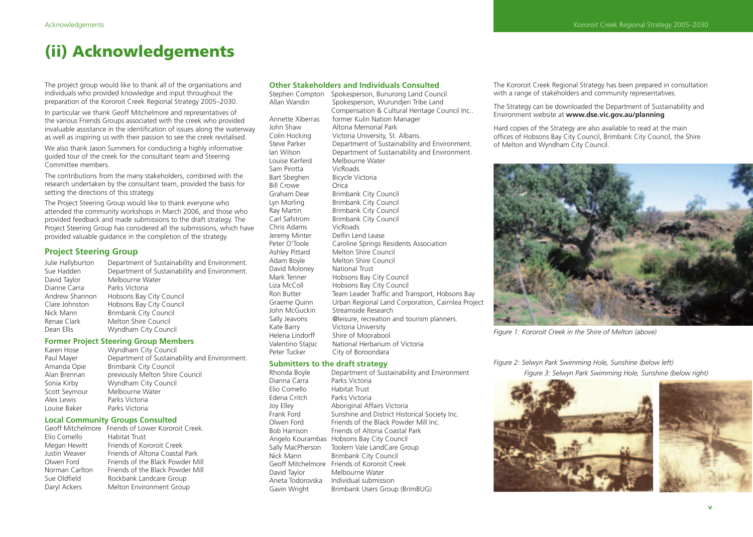# **(ii) Acknowledgements**

The project group would like to thank all of the organisations and individuals who provided knowledge and input throughout the preparation of the Kororoit Creek Regional Strategy 2005–2030.

In particular we thank Geoff Mitchelmore and representatives of the various Friends Groups associated with the creek who provided invaluable assistance in the identification of issues along the waterway as well as inspiring us with their passion to see the creek revitalised.

We also thank Jason Summers for conducting a highly informative guided tour of the creek for the consultant team and Steering Committee members.

The contributions from the many stakeholders, combined with the research undertaken by the consultant team, provided the basis for setting the directions of this strategy.

The Project Steering Group would like to thank everyone who attended the community workshops in March 2006, and those who provided feedback and made submissions to the draft strategy. The Project Steering Group has considered all the submissions, which have provided valuable guidance in the completion of the strategy.

### **Project Steering Group**

| Julie Hallyburton | Department of Sustainability and Environment. |
|-------------------|-----------------------------------------------|
| Sue Hadden        | Department of Sustainability and Environment. |
| David Taylor      | Melbourne Water                               |
| Dianne Carra      | Parks Victoria                                |
| Andrew Shannon    | Hobsons Bay City Council                      |
| Clare Johnston    | Hobsons Bay City Council                      |
| Nick Mann         | Brimbank City Council                         |
| Renae Clark       | Melton Shire Council                          |
| Dean Ellis        | Wyndham City Council                          |
|                   |                                               |

### **Former Project Steering Group Members**

| Wyndham City Council                          |
|-----------------------------------------------|
| Department of Sustainability and Environment. |
| Brimbank City Council                         |
| previously Melton Shire Council               |
| Wyndham City Council                          |
| Melbourne Water                               |
| Parks Victoria                                |
| Parks Victoria                                |
|                                               |

### **Local Community Groups Consulted**

|                | Geoff Mitchelmore Friends of Lower Kororoit Creek. |
|----------------|----------------------------------------------------|
| Elio Comello   | Habitat Trust                                      |
| Megan Hewitt   | Friends of Kororoit Creek                          |
| Justin Weaver  | Friends of Altona Coastal Park                     |
| Olwen Ford     | Friends of the Black Powder Mill                   |
| Norman Carlton | Friends of the Black Powder Mill                   |
| Sue Oldfield   | Rockbank Landcare Group                            |
| Daryl Ackers   | Melton Environment Group                           |
|                |                                                    |

| <b>Other Stakeholders and Individuals Consulted</b>                 |                                                   |  |  |  |
|---------------------------------------------------------------------|---------------------------------------------------|--|--|--|
| Stephen Compton                                                     | Spokesperson, Bunurong Land Council               |  |  |  |
| Allan Wandin                                                        | Spokesperson, Wurundjeri Tribe Land               |  |  |  |
|                                                                     | Compensation & Cultural Heritage Council Inc      |  |  |  |
| Annette Xiberras                                                    | former Kulin Nation Manager                       |  |  |  |
| John Shaw                                                           | Altona Memorial Park                              |  |  |  |
| Colin Hocking                                                       | Victoria University, St. Albans.                  |  |  |  |
| Steve Parker                                                        | Department of Sustainability and Environment.     |  |  |  |
| lan Wilson                                                          | Department of Sustainability and Environment.     |  |  |  |
| Louise Kerferd                                                      | Melbourne Water                                   |  |  |  |
| Sam Pirotta                                                         | VicRoads                                          |  |  |  |
| Bart Sbeghen                                                        | Bicycle Victoria                                  |  |  |  |
| <b>Bill Crowe</b>                                                   | Orica                                             |  |  |  |
| Graham Dear                                                         | Brimbank City Council                             |  |  |  |
| Lyn Morling                                                         | <b>Brimbank City Council</b>                      |  |  |  |
| Ray Martin                                                          | <b>Brimbank City Council</b>                      |  |  |  |
| Carl Safstrom                                                       | <b>Brimbank City Council</b>                      |  |  |  |
| Chris Adams                                                         | VicRoads                                          |  |  |  |
| Jeremy Minter                                                       | Delfin Lend Lease                                 |  |  |  |
| Peter O'Toole                                                       | Caroline Springs Residents Association            |  |  |  |
| Ashley Pittard                                                      | Melton Shire Council                              |  |  |  |
| Adam Boyle                                                          | Melton Shire Council                              |  |  |  |
| David Moloney                                                       | National Trust                                    |  |  |  |
| Mark Tenner                                                         | Hobsons Bay City Council                          |  |  |  |
| Liza McColl                                                         | Hobsons Bay City Council                          |  |  |  |
| Ron Butter                                                          | Team Leader Traffic and Transport, Hobsons Bay    |  |  |  |
| Graeme Quinn                                                        | Urban Regional Land Corporation, Cairnlea Project |  |  |  |
| John McGuckin                                                       | Streamside Research                               |  |  |  |
| Sally Jeavons                                                       | @leisure, recreation and tourism planners.        |  |  |  |
| Kate Barry                                                          | Victoria University                               |  |  |  |
| Helena Lindorff                                                     | Shire of Moorabool                                |  |  |  |
| Valentino Stajsic                                                   | National Herbarium of Victoria                    |  |  |  |
| Peter Tucker                                                        | City of Boroondara                                |  |  |  |
| Carlo de la Antonio de la Alega del calendario de la contrata del c |                                                   |  |  |  |

## **Submitters to the draft strategy**<br>Rhonda Bovle Department of Sus

| Rhonda Boyle      | Department of Sustainability and Environment  |
|-------------------|-----------------------------------------------|
| Dianna Carra      | Parks Victoria                                |
| Elio Comello      | Habitat Trust                                 |
| Edena Critch      | Parks Victoria                                |
| Joy Elley         | Aboriginal Affairs Victoria                   |
| Frank Ford        | Sunshine and District Historical Society Inc. |
| Olwen Ford        | Friends of the Black Powder Mill Inc.         |
| Bob Harrison      | Friends of Altona Coastal Park                |
|                   | Angelo Kourambas Hobsons Bay City Council     |
| Sally MacPherson  | Toolern Vale LandCare Group                   |
| Nick Mann         | <b>Brimbank City Council</b>                  |
| Geoff Mitchelmore | Friends of Kororoit Creek                     |
| David Taylor      | Melbourne Water                               |
| Aneta Todorovska  | Individual submission                         |
| Gavin Wright      | Brimbank Users Group (BrimBUG)                |

The Kororoit Creek Regional Strategy has been prepared in consultation with a range of stakeholders and community representatives.

The Strategy can be downloaded the Department of Sustainability and Environment website at **www.dse.vic.gov.au/planning**

Hard copies of the Strategy are also available to read at the main offices of Hobsons Bay City Council, Brimbank City Council, the Shire of Melton and Wyndham City Council.



*Figure 1: Kororoit Creek in the Shire of Melton (above)*

*Figure 2: Selwyn Park Swimming Hole, Sunshine (below left) Figure 3: Selwyn Park Swimming Hole, Sunshine (below right)*